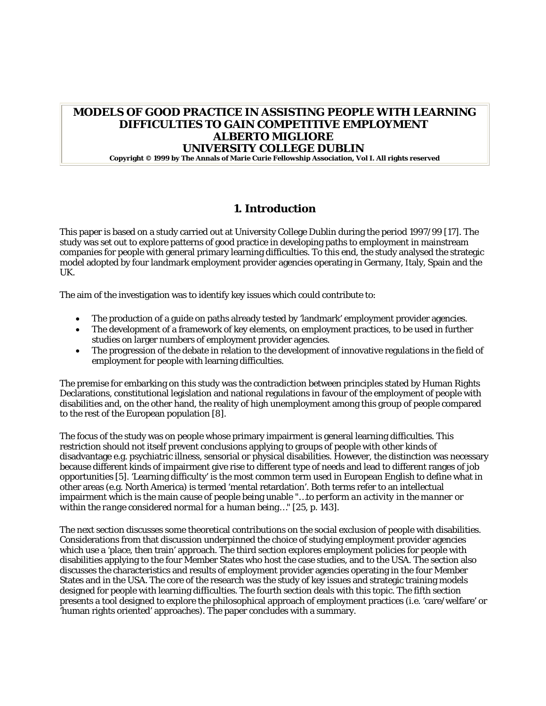# **MODELS OF GOOD PRACTICE IN ASSISTING PEOPLE WITH LEARNING DIFFICULTIES TO GAIN COMPETITIVE EMPLOYMENT ALBERTO MIGLIORE UNIVERSITY COLLEGE DUBLIN Copyright © 1999 by The Annals of Marie Curie Fellowship Association, Vol I. All rights reserved**

# **1. Introduction**

This paper is based on a study carried out at University College Dublin during the period 1997/99 [17]. The study was set out to explore patterns of good practice in developing paths to employment in mainstream companies for people with general primary learning difficulties. To this end, the study analysed the strategic model adopted by four landmark employment provider agencies operating in Germany, Italy, Spain and the  $I K$ 

The aim of the investigation was to identify key issues which could contribute to:

- The production of a guide on paths already tested by 'landmark' employment provider agencies.
- The development of a framework of key elements, on employment practices, to be used in further studies on larger numbers of employment provider agencies.
- The progression of the debate in relation to the development of innovative regulations in the field of employment for people with learning difficulties.

The premise for embarking on this study was the contradiction between principles stated by Human Rights Declarations, constitutional legislation and national regulations in favour of the employment of people with disabilities and, on the other hand, the reality of high unemployment among this group of people compared to the rest of the European population [8].

The focus of the study was on people whose primary impairment is general learning difficulties. This restriction should not itself prevent conclusions applying to groups of people with other kinds of disadvantage e.g. psychiatric illness, sensorial or physical disabilities. However, the distinction was necessary because different kinds of impairment give rise to different type of needs and lead to different ranges of job opportunities [5]. 'Learning difficulty' is the most common term used in European English to define what in other areas (e.g. North America) is termed 'mental retardation'. Both terms refer to an intellectual impairment which is the main cause of people being unable "…*to perform an activity in the manner or within the range considered normal for a human being…"* [25, p. 143].

The next section discusses some theoretical contributions on the social exclusion of people with disabilities. Considerations from that discussion underpinned the choice of studying employment provider agencies which use a 'place, then train' approach. The third section explores employment policies for people with disabilities applying to the four Member States who host the case studies, and to the USA. The section also discusses the characteristics and results of employment provider agencies operating in the four Member States and in the USA. The core of the research was the study of key issues and strategic training models designed for people with learning difficulties. The fourth section deals with this topic. The fifth section presents a tool designed to explore the philosophical approach of employment practices (i.e. 'care/welfare' or 'human rights oriented' approaches). The paper concludes with a summary.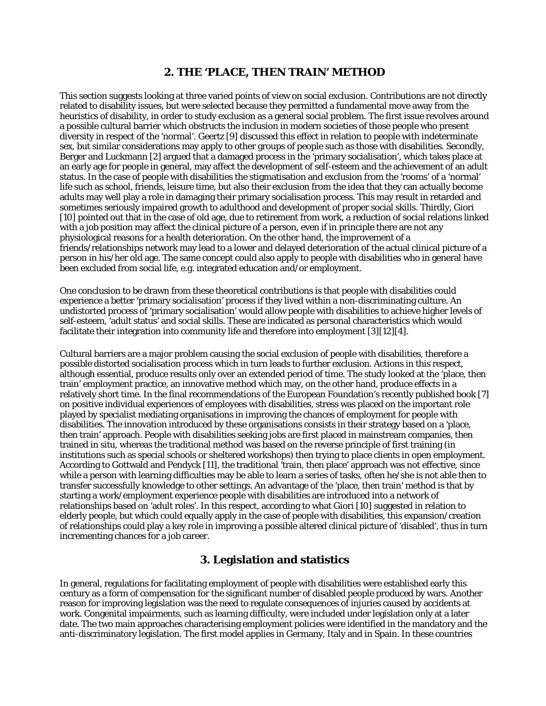### **2. THE 'PLACE, THEN TRAIN' METHOD**

This section suggests looking at three varied points of view on social exclusion. Contributions are not directly related to disability issues, but were selected because they permitted a fundamental move away from the heuristics of disability, in order to study exclusion as a general social problem. The first issue revolves around a possible cultural barrier which obstructs the inclusion in modern societies of those people who present diversity in respect of the 'normal'. Geertz [9] discussed this effect in relation to people with indeterminate sex, but similar considerations may apply to other groups of people such as those with disabilities. Secondly, Berger and Luckmann [2] argued that a damaged process in the 'primary socialisation', which takes place at an early age for people in general, may affect the development of self-esteem and the achievement of an adult status. In the case of people with disabilities the stigmatisation and exclusion from the 'rooms' of a 'normal' life such as school, friends, leisure time, but also their exclusion from the idea that they can actually become adults may well play a role in damaging their primary socialisation process. This may result in retarded and sometimes seriously impaired growth to adulthood and development of proper social skills. Thirdly, Giori [10] pointed out that in the case of old age, due to retirement from work, a reduction of social relations linked with a job position may affect the clinical picture of a person, even if in principle there are not any physiological reasons for a health deterioration. On the other hand, the improvement of a friends/relationships network may lead to a lower and delayed deterioration of the actual clinical picture of a person in his/her old age. The same concept could also apply to people with disabilities who in general have been excluded from social life, e.g. integrated education and/or employment.

One conclusion to be drawn from these theoretical contributions is that people with disabilities could experience a better 'primary socialisation' process if they lived within a non-discriminating culture. An undistorted process of 'primary socialisation' would allow people with disabilities to achieve higher levels of self-esteem, 'adult status' and social skills. These are indicated as personal characteristics which would facilitate their integration into community life and therefore into employment [3][12][4].

Cultural barriers are a major problem causing the social exclusion of people with disabilities, therefore a possible distorted socialisation process which in turn leads to further exclusion. Actions in this respect, although essential, produce results only over an extended period of time. The study looked at the 'place, then train' employment practice, an innovative method which may, on the other hand, produce effects in a relatively short time. In the final recommendations of the European Foundation's recently published book [7] on positive individual experiences of employees with disabilities, stress was placed on the important role played by specialist mediating organisations in improving the chances of employment for people with disabilities. The innovation introduced by these organisations consists in their strategy based on a 'place, then train' approach. People with disabilities seeking jobs are first placed in mainstream companies, then trained in situ, whereas the traditional method was based on the reverse principle of first training (in institutions such as special schools or sheltered workshops) then trying to place clients in open employment. According to Gottwald and Pendyck [11], the traditional 'train, then place' approach was not effective, since while a person with learning difficulties may be able to learn a series of tasks, often he/she is not able then to transfer successfully knowledge to other settings. An advantage of the 'place, then train' method is that by starting a work/employment experience people with disabilities are introduced into a network of relationships based on 'adult roles'. In this respect, according to what Giori [10] suggested in relation to elderly people, but which could equally apply in the case of people with disabilities, this expansion/creation of relationships could play a key role in improving a possible altered clinical picture of 'disabled', thus in turn incrementing chances for a job career.

## **3. Legislation and statistics**

In general, regulations for facilitating employment of people with disabilities were established early this century as a form of compensation for the significant number of disabled people produced by wars. Another reason for improving legislation was the need to regulate consequences of injuries caused by accidents at work. Congenital impairments, such as learning difficulty, were included under legislation only at a later date. The two main approaches characterising employment policies were identified in the mandatory and the anti-discriminatory legislation. The first model applies in Germany, Italy and in Spain. In these countries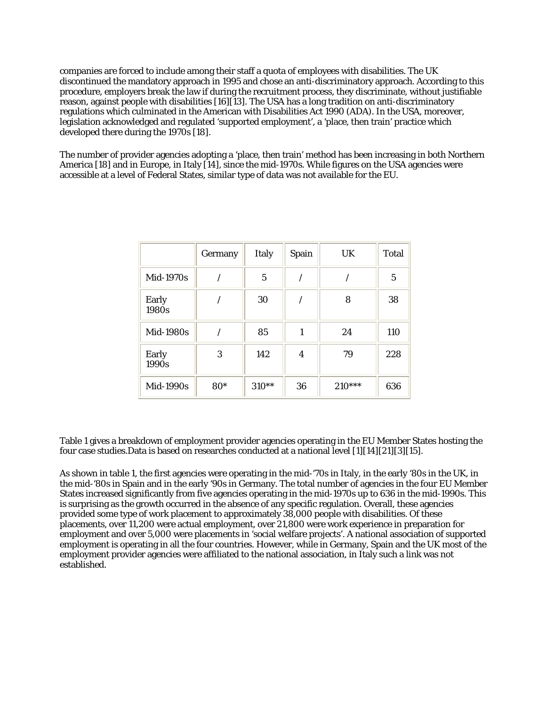companies are forced to include among their staff a quota of employees with disabilities. The UK discontinued the mandatory approach in 1995 and chose an anti-discriminatory approach. According to this procedure, employers break the law if during the recruitment process, they discriminate, without justifiable reason, against people with disabilities [16][13]. The USA has a long tradition on anti-discriminatory regulations which culminated in the American with Disabilities Act 1990 (ADA). In the USA, moreover, legislation acknowledged and regulated 'supported employment', a 'place, then train' practice which developed there during the 1970s [18].

The number of provider agencies adopting a 'place, then train' method has been increasing in both Northern America [18] and in Europe, in Italy [14], since the mid-1970s. While figures on the USA agencies were accessible at a level of Federal States, similar type of data was not available for the EU.

|                | Germany | Italy          | Spain          | UK       | <b>Total</b> |
|----------------|---------|----------------|----------------|----------|--------------|
| Mid-1970s      |         | $\overline{5}$ |                |          | $\mathbf 5$  |
| Early<br>1980s |         | 30             |                | 8        | 38           |
| Mid-1980s      |         | 85             |                | 24       | 110          |
| Early<br>1990s | 3       | 142            | $\overline{4}$ | 79       | 228          |
| Mid-1990s      | 80*     | 310**          | 36             | $210***$ | 636          |

Table 1 gives a breakdown of employment provider agencies operating in the EU Member States hosting the four case studies.Data is based on researches conducted at a national level [1][14][21][3][15].

As shown in table 1, the first agencies were operating in the mid-'70s in Italy, in the early '80s in the UK, in the mid-'80s in Spain and in the early '90s in Germany. The total number of agencies in the four EU Member States increased significantly from five agencies operating in the mid-1970s up to 636 in the mid-1990s. This is surprising as the growth occurred in the absence of any specific regulation. Overall, these agencies provided some type of work placement to approximately 38,000 people with disabilities. Of these placements, over 11,200 were actual employment, over 21,800 were work experience in preparation for employment and over 5,000 were placements in 'social welfare projects'. A national association of supported employment is operating in all the four countries. However, while in Germany, Spain and the UK most of the employment provider agencies were affiliated to the national association, in Italy such a link was not established.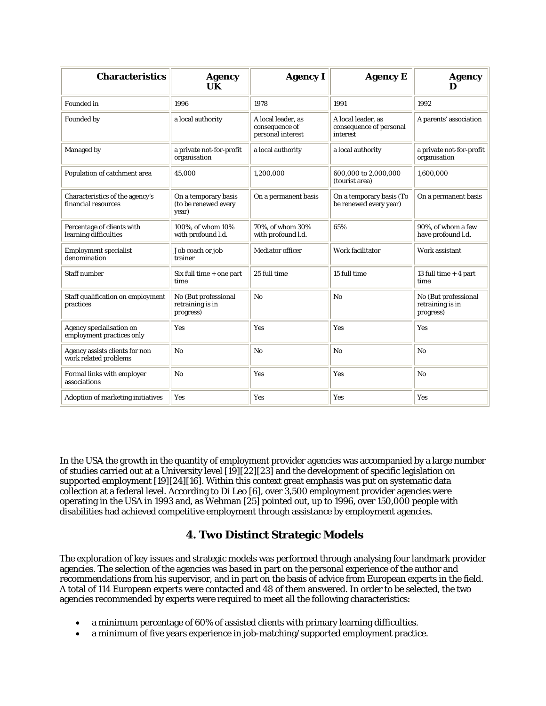| <b>Characteristics</b>                                  | <b>Agency</b><br>UK                                   | <b>Agency I</b>                                           | <b>Agency E</b>                                           | <b>Agency</b><br>D                                    |
|---------------------------------------------------------|-------------------------------------------------------|-----------------------------------------------------------|-----------------------------------------------------------|-------------------------------------------------------|
| <b>Founded</b> in                                       | 1996                                                  | 1978                                                      | 1991                                                      | 1992                                                  |
| Founded by                                              | a local authority                                     | A local leader, as<br>consequence of<br>personal interest | A local leader, as<br>consequence of personal<br>interest | A parents' association                                |
| Managed by                                              | a private not-for-profit<br>organisation              | a local authority                                         | a local authority                                         | a private not-for-profit<br>organisation              |
| Population of catchment area                            | 45.000                                                | 1,200,000                                                 | 600,000 to 2,000,000<br>(tourist area)                    | 1,600,000                                             |
| Characteristics of the agency's<br>financial resources  | On a temporary basis<br>(to be renewed every<br>year) | On a permanent basis                                      | On a temporary basis (To<br>be renewed every year)        | On a permanent basis                                  |
| Percentage of clients with<br>learning difficulties     | 100%, of whom 10%<br>with profound l.d.               | 70%, of whom 30%<br>with profound l.d.                    | 65%                                                       | 90%, of whom a few<br>have profound l.d.              |
| <b>Employment specialist</b><br>denomination            | Job coach or job<br>trainer                           | <b>Mediator officer</b>                                   | Work facilitator                                          | Work assistant                                        |
| <b>Staff number</b>                                     | Six full time + one part<br>time                      | 25 full time                                              | 15 full time                                              | 13 full time $+4$ part<br>time                        |
| Staff qualification on employment<br>practices          | No (But professional<br>retraining is in<br>progress) | No                                                        | N <sub>0</sub>                                            | No (But professional<br>retraining is in<br>progress) |
| Agency specialisation on<br>employment practices only   | <b>Yes</b>                                            | <b>Yes</b>                                                | Yes                                                       | Yes                                                   |
| Agency assists clients for non<br>work related problems | N <sub>o</sub>                                        | N <sub>o</sub>                                            | N <sub>0</sub>                                            | N <sub>0</sub>                                        |
| Formal links with employer<br>associations              | No                                                    | Yes                                                       | Yes                                                       | No                                                    |
| Adoption of marketing initiatives                       | Yes                                                   | Yes                                                       | Yes                                                       | Yes                                                   |

In the USA the growth in the quantity of employment provider agencies was accompanied by a large number of studies carried out at a University level [19][22][23] and the development of specific legislation on supported employment [19][24][16]. Within this context great emphasis was put on systematic data collection at a federal level. According to Di Leo [6], over 3,500 employment provider agencies were operating in the USA in 1993 and, as Wehman [25] pointed out, up to 1996, over 150,000 people with disabilities had achieved competitive employment through assistance by employment agencies.

# **4. Two Distinct Strategic Models**

The exploration of key issues and strategic models was performed through analysing four landmark provider agencies. The selection of the agencies was based in part on the personal experience of the author and recommendations from his supervisor, and in part on the basis of advice from European experts in the field. A total of 114 European experts were contacted and 48 of them answered. In order to be selected, the two agencies recommended by experts were required to meet all the following characteristics:

- a minimum percentage of 60% of assisted clients with primary learning difficulties.
- a minimum of five years experience in job-matching/supported employment practice.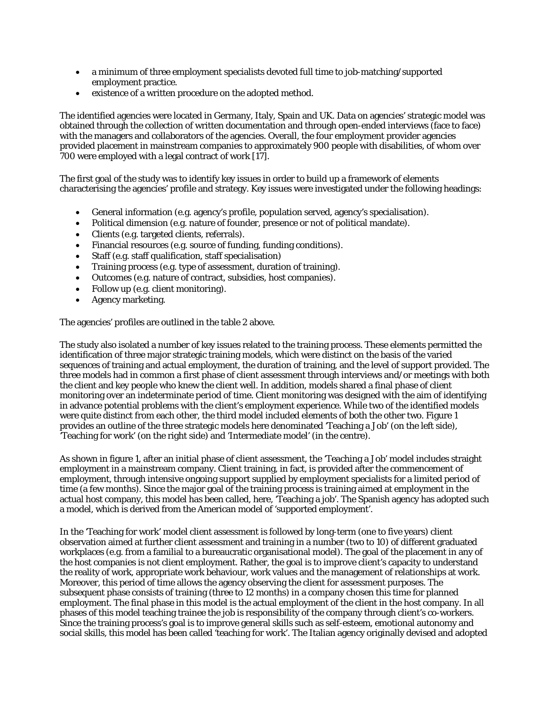- a minimum of three employment specialists devoted full time to job-matching/supported employment practice.
- existence of a written procedure on the adopted method.

The identified agencies were located in Germany, Italy, Spain and UK. Data on agencies' strategic model was obtained through the collection of written documentation and through open-ended interviews (face to face) with the managers and collaborators of the agencies. Overall, the four employment provider agencies provided placement in mainstream companies to approximately 900 people with disabilities, of whom over 700 were employed with a legal contract of work [17].

The first goal of the study was to identify key issues in order to build up a framework of elements characterising the agencies' profile and strategy. Key issues were investigated under the following headings:

- General information (e.g. agency's profile, population served, agency's specialisation).
- Political dimension (e.g. nature of founder, presence or not of political mandate).
- Clients (e.g. targeted clients, referrals).
- Financial resources (e.g. source of funding, funding conditions).
- Staff (e.g. staff qualification, staff specialisation)
- Training process (e.g. type of assessment, duration of training).
- Outcomes (e.g. nature of contract, subsidies, host companies).
- Follow up (e.g. client monitoring).
- Agency marketing.

The agencies' profiles are outlined in the table 2 above.

The study also isolated a number of key issues related to the training process. These elements permitted the identification of three major strategic training models, which were distinct on the basis of the varied sequences of training and actual employment, the duration of training, and the level of support provided. The three models had in common a first phase of client assessment through interviews and/or meetings with both the client and key people who knew the client well. In addition, models shared a final phase of client monitoring over an indeterminate period of time. Client monitoring was designed with the aim of identifying in advance potential problems with the client's employment experience. While two of the identified models were quite distinct from each other, the third model included elements of both the other two. Figure 1 provides an outline of the three strategic models here denominated 'Teaching a Job' (on the left side), 'Teaching for work' (on the right side) and 'Intermediate model' (in the centre).

As shown in figure 1, after an initial phase of client assessment, the 'Teaching a Job' model includes straight employment in a mainstream company. Client training, in fact, is provided after the commencement of employment, through intensive ongoing support supplied by employment specialists for a limited period of time (a few months). Since the major goal of the training process is training aimed at employment in the actual host company, this model has been called, here, 'Teaching a job'. The Spanish agency has adopted such a model, which is derived from the American model of 'supported employment'.

In the 'Teaching for work' model client assessment is followed by long-term (one to five years) client observation aimed at further client assessment and training in a number (two to 10) of different graduated workplaces (e.g. from a familial to a bureaucratic organisational model). The goal of the placement in any of the host companies is not client employment. Rather, the goal is to improve client's capacity to understand the reality of work, appropriate work behaviour, work values and the management of relationships at work. Moreover, this period of time allows the agency observing the client for assessment purposes. The subsequent phase consists of training (three to 12 months) in a company chosen this time for planned employment. The final phase in this model is the actual employment of the client in the host company. In all phases of this model teaching trainee the job is responsibility of the company through client's co-workers. Since the training process's goal is to improve general skills such as self-esteem, emotional autonomy and social skills, this model has been called 'teaching for work'. The Italian agency originally devised and adopted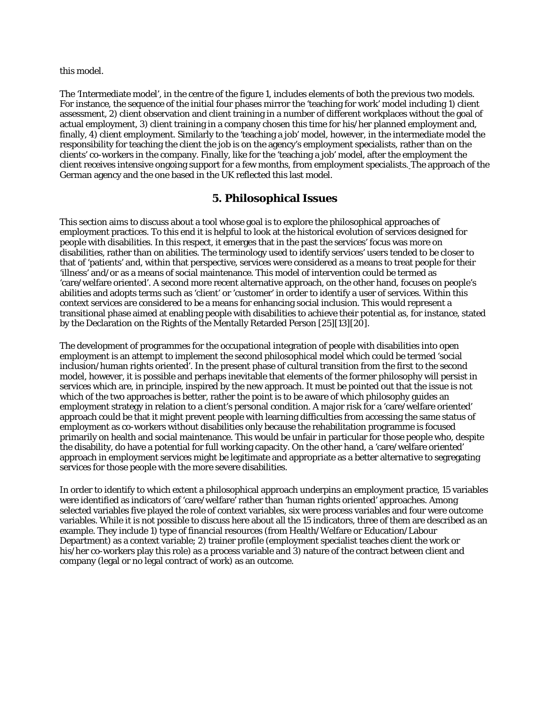this model.

The 'Intermediate model', in the centre of the figure 1, includes elements of both the previous two models. For instance, the sequence of the initial four phases mirror the 'teaching for work' model including 1) client assessment, 2) client observation and client training in a number of different workplaces without the goal of actual employment, 3) client training in a company chosen this time for his/her planned employment and, finally, 4) client employment. Similarly to the 'teaching a job' model, however, in the intermediate model the responsibility for teaching the client the job is on the agency's employment specialists, rather than on the clients' co-workers in the company. Finally, like for the 'teaching a job' model, after the employment the client receives intensive ongoing support for a few months, from employment specialists. The approach of the German agency and the one based in the UK reflected this last model.

### **5. Philosophical Issues**

This section aims to discuss about a tool whose goal is to explore the philosophical approaches of employment practices. To this end it is helpful to look at the historical evolution of services designed for people with disabilities. In this respect, it emerges that in the past the services' focus was more on disabilities, rather than on abilities. The terminology used to identify services' users tended to be closer to that of 'patients' and, within that perspective, services were considered as a means to treat people for their 'illness' and/or as a means of social maintenance. This model of intervention could be termed as 'care/welfare oriented'. A second more recent alternative approach, on the other hand, focuses on people's abilities and adopts terms such as 'client' or 'customer' in order to identify a user of services. Within this context services are considered to be a means for enhancing social inclusion. This would represent a transitional phase aimed at enabling people with disabilities to achieve their potential as, for instance, stated by the Declaration on the Rights of the Mentally Retarded Person [25][13][20].

The development of programmes for the occupational integration of people with disabilities into open employment is an attempt to implement the second philosophical model which could be termed 'social inclusion/human rights oriented'. In the present phase of cultural transition from the first to the second model, however, it is possible and perhaps inevitable that elements of the former philosophy will persist in services which are, in principle, inspired by the new approach. It must be pointed out that the issue is not which of the two approaches is better, rather the point is to be aware of which philosophy guides an employment strategy in relation to a client's personal condition. A major risk for a 'care/welfare oriented' approach could be that it might prevent people with learning difficulties from accessing the same status of employment as co-workers without disabilities only because the rehabilitation programme is focused primarily on health and social maintenance. This would be unfair in particular for those people who, despite the disability, do have a potential for full working capacity. On the other hand, a 'care/welfare oriented' approach in employment services might be legitimate and appropriate as a better alternative to segregating services for those people with the more severe disabilities.

In order to identify to which extent a philosophical approach underpins an employment practice, 15 variables were identified as indicators of 'care/welfare' rather than 'human rights oriented' approaches. Among selected variables five played the role of context variables, six were process variables and four were outcome variables. While it is not possible to discuss here about all the 15 indicators, three of them are described as an example. They include 1) type of financial resources (from Health/Welfare or Education/Labour Department) as a context variable; 2) trainer profile (employment specialist teaches client the work or his/her co-workers play this role) as a process variable and 3) nature of the contract between client and company (legal or no legal contract of work) as an outcome.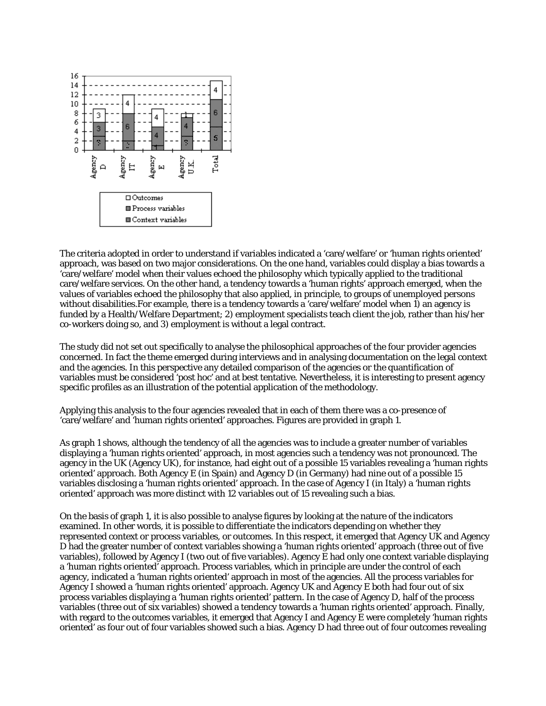

The criteria adopted in order to understand if variables indicated a 'care/welfare' or 'human rights oriented' approach, was based on two major considerations. On the one hand, variables could display a bias towards a 'care/welfare' model when their values echoed the philosophy which typically applied to the traditional care/welfare services. On the other hand, a tendency towards a 'human rights' approach emerged, when the values of variables echoed the philosophy that also applied, in principle, to groups of unemployed persons without disabilities.For example, there is a tendency towards a 'care/welfare' model when 1) an agency is funded by a Health/Welfare Department; 2) employment specialists teach client the job, rather than his/her co-workers doing so, and 3) employment is without a legal contract.

The study did not set out specifically to analyse the philosophical approaches of the four provider agencies concerned. In fact the theme emerged during interviews and in analysing documentation on the legal context and the agencies. In this perspective any detailed comparison of the agencies or the quantification of variables must be considered 'post hoc' and at best tentative. Nevertheless, it is interesting to present agency specific profiles as an illustration of the potential application of the methodology.

Applying this analysis to the four agencies revealed that in each of them there was a co-presence of 'care/welfare' and 'human rights oriented' approaches. Figures are provided in graph 1.

As graph 1 shows, although the tendency of all the agencies was to include a greater number of variables displaying a 'human rights oriented' approach, in most agencies such a tendency was not pronounced. The agency in the UK (Agency UK), for instance, had eight out of a possible 15 variables revealing a 'human rights oriented' approach. Both Agency E (in Spain) and Agency D (in Germany) had nine out of a possible 15 variables disclosing a 'human rights oriented' approach. In the case of Agency I (in Italy) a 'human rights oriented' approach was more distinct with 12 variables out of 15 revealing such a bias.

On the basis of graph 1, it is also possible to analyse figures by looking at the nature of the indicators examined. In other words, it is possible to differentiate the indicators depending on whether they represented context or process variables, or outcomes. In this respect, it emerged that Agency UK and Agency D had the greater number of context variables showing a 'human rights oriented' approach (three out of five variables), followed by Agency I (two out of five variables). Agency E had only one context variable displaying a 'human rights oriented' approach. Process variables, which in principle are under the control of each agency, indicated a 'human rights oriented' approach in most of the agencies. All the process variables for Agency I showed a 'human rights oriented' approach. Agency UK and Agency E both had four out of six process variables displaying a 'human rights oriented' pattern. In the case of Agency D, half of the process variables (three out of six variables) showed a tendency towards a 'human rights oriented' approach. Finally, with regard to the outcomes variables, it emerged that Agency I and Agency E were completely 'human rights oriented' as four out of four variables showed such a bias. Agency D had three out of four outcomes revealing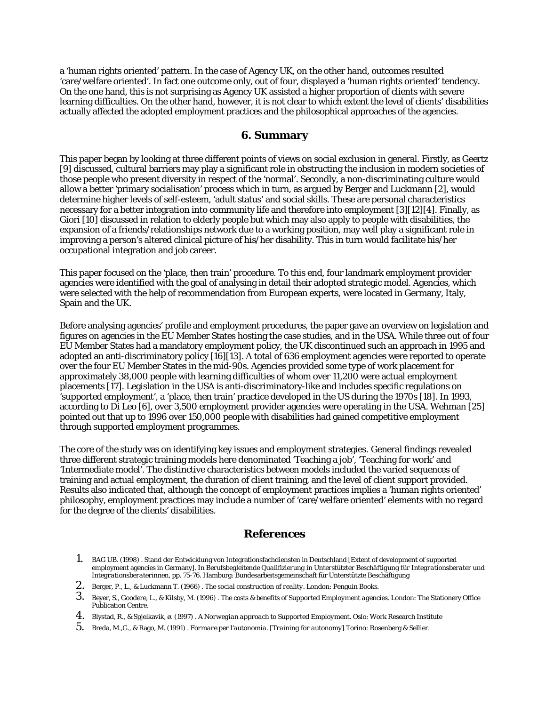a 'human rights oriented' pattern. In the case of Agency UK, on the other hand, outcomes resulted 'care/welfare oriented'. In fact one outcome only, out of four, displayed a 'human rights oriented' tendency. On the one hand, this is not surprising as Agency UK assisted a higher proportion of clients with severe learning difficulties. On the other hand, however, it is not clear to which extent the level of clients' disabilities actually affected the adopted employment practices and the philosophical approaches of the agencies.

#### **6. Summary**

This paper began by looking at three different points of views on social exclusion in general. Firstly, as Geertz [9] discussed, cultural barriers may play a significant role in obstructing the inclusion in modern societies of those people who present diversity in respect of the 'normal'. Secondly, a non-discriminating culture would allow a better 'primary socialisation' process which in turn, as argued by Berger and Luckmann [2], would determine higher levels of self-esteem, 'adult status' and social skills. These are personal characteristics necessary for a better integration into community life and therefore into employment [3][12][4]. Finally, as Giori [10] discussed in relation to elderly people but which may also apply to people with disabilities, the expansion of a friends/relationships network due to a working position, may well play a significant role in improving a person's altered clinical picture of his/her disability. This in turn would facilitate his/her occupational integration and job career.

This paper focused on the 'place, then train' procedure. To this end, four landmark employment provider agencies were identified with the goal of analysing in detail their adopted strategic model. Agencies, which were selected with the help of recommendation from European experts, were located in Germany, Italy, Spain and the UK.

Before analysing agencies' profile and employment procedures, the paper gave an overview on legislation and figures on agencies in the EU Member States hosting the case studies, and in the USA. While three out of four EU Member States had a mandatory employment policy, the UK discontinued such an approach in 1995 and adopted an anti-discriminatory policy [16][13]. A total of 636 employment agencies were reported to operate over the four EU Member States in the mid-90s. Agencies provided some type of work placement for approximately 38,000 people with learning difficulties of whom over 11,200 were actual employment placements [17]. Legislation in the USA is anti-discriminatory-like and includes specific regulations on 'supported employment', a 'place, then train' practice developed in the US during the 1970s [18]. In 1993, according to Di Leo [6], over 3,500 employment provider agencies were operating in the USA. Wehman [25] pointed out that up to 1996 over 150,000 people with disabilities had gained competitive employment through supported employment programmes.

The core of the study was on identifying key issues and employment strategies. General findings revealed three different strategic training models here denominated 'Teaching a job', 'Teaching for work' and 'Intermediate model'. The distinctive characteristics between models included the varied sequences of training and actual employment, the duration of client training, and the level of client support provided. Results also indicated that, although the concept of employment practices implies a 'human rights oriented' philosophy, employment practices may include a number of 'care/welfare oriented' elements with no regard for the degree of the clients' disabilities.

### **References**

- 1. BAG UB. (1998) . Stand der Entwicklung von Integrationsfachdiensten in Deutschland [Extent of development of supported employment agencies in Germany]. In *Berufsbegleitende Qualifizierung in Unterstützter Beschäftigung für Integrationsberater und Integrationsberaterinnen,* pp. 75-76. Hamburg: Bundesarbeitsgemeinschaft für Unterstützte Beschäftigung
- 2. Berger, P., L., & Luckmann T. (1966) . *The social construction of reality*. London: Penguin Books.
- 3. Beyer, S., Goodere, L., & Kilsby, M. (1996) . *The costs & benefits of Supported Employment agencies*. London: The Stationery Office Publication Centre.
- 4. Blystad, R., & Spjelkavik, ø. (1997) . *A Norwegian approach to Supported Employment*. Oslo: Work Research Institute
- 5. Breda, M.,G., & Rago, M. (1991) . *Formare per l'autonomia*. [*Training for autonomy*] Torino: Rosenberg & Sellier.